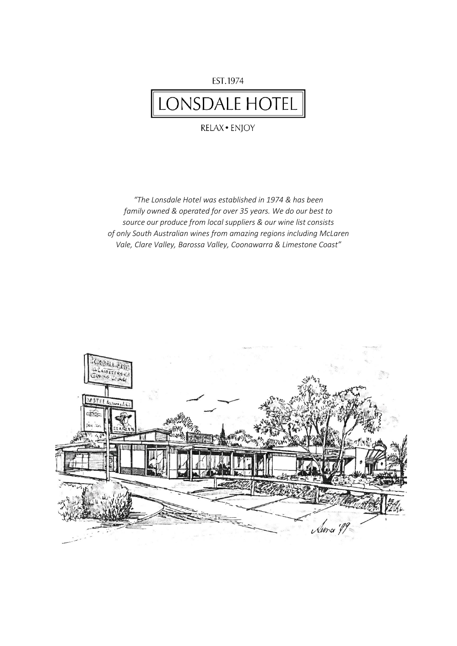## EST.1974 LONSDALE HOTEL

RELAX · ENJOY

*"The Lonsdale Hotel was established in 1974 & has been family owned & operated for over 35 years. We do our best to source our produce from local suppliers & our wine list consists of only South Australian wines from amazing regions including McLaren Vale, Clare Valley, Barossa Valley, Coonawarra & Limestone Coast"*

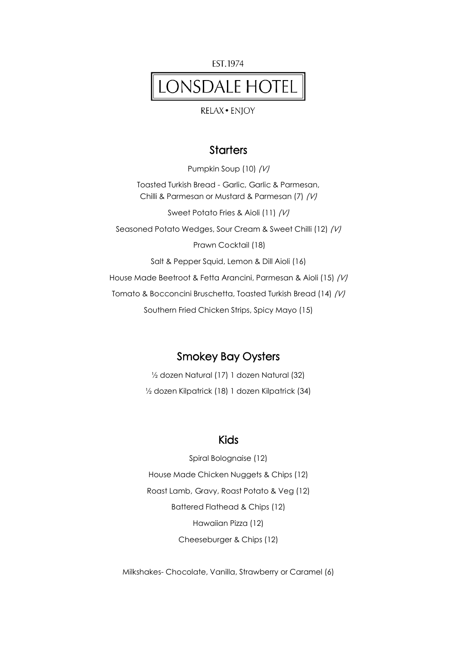EST.1974

# LONSDALE HOTEL

**RELAX · ENIOY** 

#### **Starters**

Pumpkin Soup (10) (V) Toasted Turkish Bread - Garlic, Garlic & Parmesan, Chilli & Parmesan or Mustard & Parmesan (7) (V) Sweet Potato Fries & Aioli (11) (V) Seasoned Potato Wedges, Sour Cream & Sweet Chilli (12) (V) Prawn Cocktail (18) Salt & Pepper Squid, Lemon & Dill Aioli (16) House Made Beetroot & Fetta Arancini, Parmesan & Aioli (15) (V) Tomato & Bocconcini Bruschetta, Toasted Turkish Bread (14) (V) Southern Fried Chicken Strips, Spicy Mayo (15)

### Smokey Bay Oysters

½ dozen Natural (17) 1 dozen Natural (32) ½ dozen Kilpatrick (18) 1 dozen Kilpatrick (34)

#### Kids

Spiral Bolognaise (12) House Made Chicken Nuggets & Chips (12) Roast Lamb, Gravy, Roast Potato & Veg (12) Battered Flathead & Chips (12) Hawaiian Pizza (12) Cheeseburger & Chips (12)

Milkshakes- Chocolate, Vanilla, Strawberry or Caramel (6)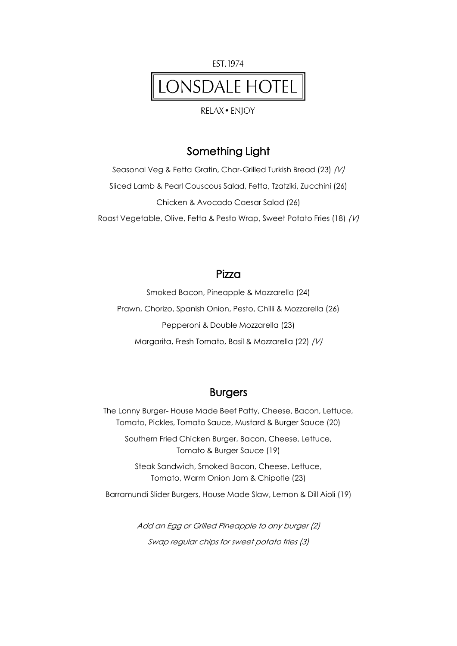

**RELAX · ENIOY** 

### Something Light

Seasonal Veg & Fetta Gratin, Char-Grilled Turkish Bread (23) (V) Sliced Lamb & Pearl Couscous Salad, Fetta, Tzatziki, Zucchini (26) Chicken & Avocado Caesar Salad (26) Roast Vegetable, Olive, Fetta & Pesto Wrap, Sweet Potato Fries (18) (V)

#### Pizza

Smoked Bacon, Pineapple & Mozzarella (24) Prawn, Chorizo, Spanish Onion, Pesto, Chilli & Mozzarella (26) Pepperoni & Double Mozzarella (23) Margarita, Fresh Tomato, Basil & Mozzarella (22) (V)

#### Burgers

The Lonny Burger- House Made Beef Patty, Cheese, Bacon, Lettuce, Tomato, Pickles, Tomato Sauce, Mustard & Burger Sauce (20)

Southern Fried Chicken Burger, Bacon, Cheese, Lettuce, Tomato & Burger Sauce (19)

Steak Sandwich, Smoked Bacon, Cheese, Lettuce, Tomato, Warm Onion Jam & Chipotle (23)

Barramundi Slider Burgers, House Made Slaw, Lemon & Dill Aioli (19)

Add an Egg or Grilled Pineapple to any burger (2) Swap regular chips for sweet potato fries (3)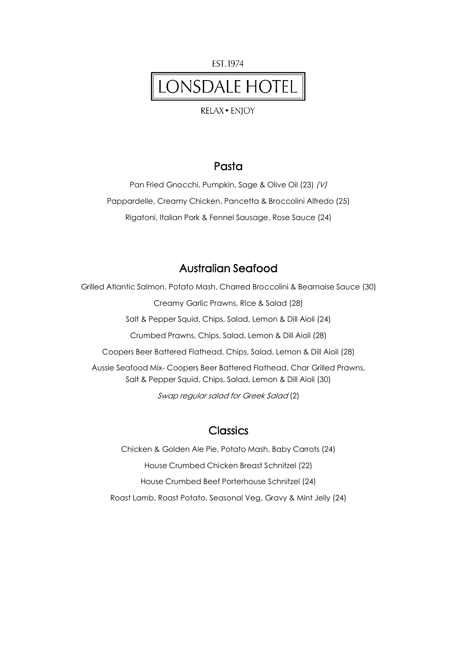

**RELAX · ENIOY** 

#### Pasta

Pan Fried Gnocchi, Pumpkin, Sage & Olive Oil (23) (V) Pappardelle, Creamy Chicken, Pancetta & Broccolini Alfredo (25) Rigatoni, Italian Pork & Fennel Sausage, Rose Sauce (24)

### Australian Seafood

Grilled Atlantic Salmon, Potato Mash, Charred Broccolini & Bearnaise Sauce (30) Creamy Garlic Prawns, Rice & Salad (28) Salt & Pepper Squid, Chips, Salad, Lemon & Dill Aioli (24) Crumbed Prawns, Chips, Salad, Lemon & Dill Aioli (28) Coopers Beer Battered Flathead, Chips, Salad, Lemon & Dill Aioli (28) Aussie Seafood Mix- Coopers Beer Battered Flathead, Char Grilled Prawns, Salt & Pepper Squid, Chips, Salad, Lemon & Dill Aioli (30) Swap regular salad for Greek Salad (2)

### **Classics**

Chicken & Golden Ale Pie, Potato Mash, Baby Carrots (24) House Crumbed Chicken Breast Schnitzel (22) House Crumbed Beef Porterhouse Schnitzel (24) Roast Lamb, Roast Potato, Seasonal Veg, Gravy & Mint Jelly (24)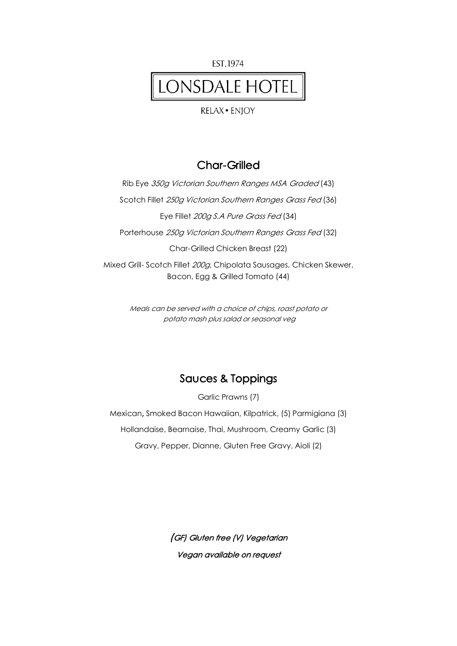

## LONSDALE HOTEL

#### **RELAX · ENJOY**

#### Char-Grilled

Rib Eye 350g Victorian Southern Ranges MSA Graded (43) Scotch Fillet 250g Victorian Southern Ranges Grass Fed (36) Eye Fillet 200g S.A Pure Grass Fed (34) Porterhouse 250g Victorian Southern Ranges Grass Fed (32) Char-Grilled Chicken Breast (22) Mixed Grill- Scotch Fillet 200g, Chipolata Sausages, Chicken Skewer, Bacon, Egg & Grilled Tomato (44)

> Meals can be served with a choice of chips, roast potato or potato mash plus salad or seasonal veg

## Sauces & Toppings

Garlic Prawns (7)

Mexican, Smoked Bacon Hawaiian, Kilpatrick, (5) Parmigiana (3) Hollandaise, Bearnaise, Thai, Mushroom, Creamy Garlic (3) Gravy, Pepper, Dianne, Gluten Free Gravy, Aioli (2)

> (GF) Gluten free (V) Vegetarian Vegan available on request